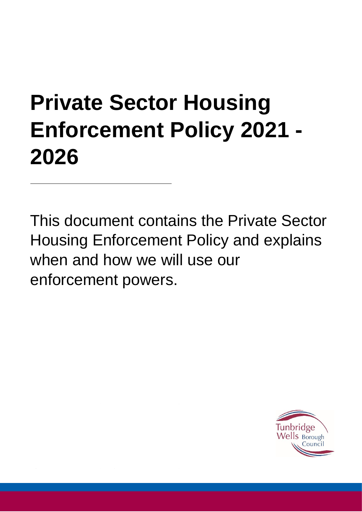# <span id="page-0-0"></span>**Private Sector Housing Enforcement Policy 2021 - 2026**

This document contains the Private Sector Housing Enforcement Policy and explains when and how we will use our enforcement powers.

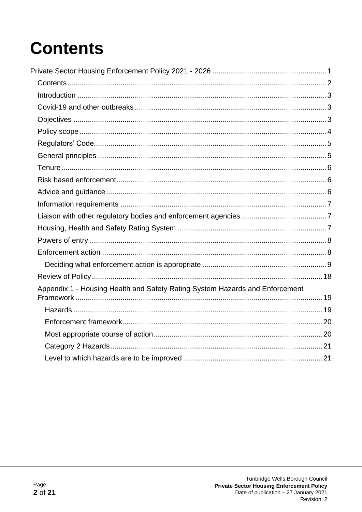## <span id="page-1-0"></span>**Contents**

| Appendix 1 - Housing Health and Safety Rating System Hazards and Enforcement |  |
|------------------------------------------------------------------------------|--|
|                                                                              |  |
|                                                                              |  |
|                                                                              |  |
|                                                                              |  |
|                                                                              |  |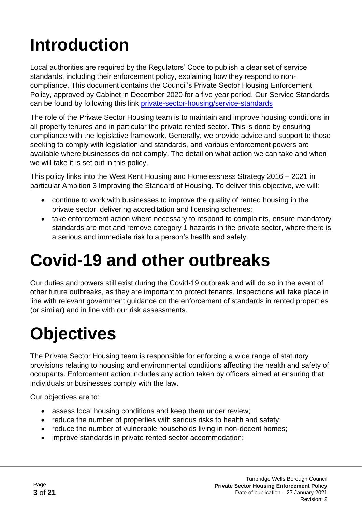# <span id="page-2-0"></span>**Introduction**

Local authorities are required by the Regulators' Code to publish a clear set of service standards, including their enforcement policy, explaining how they respond to noncompliance. This document contains the Council's Private Sector Housing Enforcement Policy, approved by Cabinet in December 2020 for a five year period. Our Service Standards can be found by following this link [private-sector-housing/service-standards](https://www.tunbridgewells.gov.uk/housing/private-sector-housing/service-standards)

The role of the Private Sector Housing team is to maintain and improve housing conditions in all property tenures and in particular the private rented sector. This is done by ensuring compliance with the legislative framework. Generally, we provide advice and support to those seeking to comply with legislation and standards, and various enforcement powers are available where businesses do not comply. The detail on what action we can take and when we will take it is set out in this policy.

This policy links into the West Kent Housing and Homelessness Strategy 2016 – 2021 in particular Ambition 3 Improving the Standard of Housing. To deliver this objective, we will:

- continue to work with businesses to improve the quality of rented housing in the private sector, delivering accreditation and licensing schemes;
- take enforcement action where necessary to respond to complaints, ensure mandatory standards are met and remove category 1 hazards in the private sector, where there is a serious and immediate risk to a person's health and safety.

### <span id="page-2-1"></span>**Covid-19 and other outbreaks**

Our duties and powers still exist during the Covid-19 outbreak and will do so in the event of other future outbreaks, as they are important to protect tenants. Inspections will take place in line with relevant government guidance on the enforcement of standards in rented properties (or similar) and in line with our risk assessments.

## <span id="page-2-2"></span>**Objectives**

The Private Sector Housing team is responsible for enforcing a wide range of statutory provisions relating to housing and environmental conditions affecting the health and safety of occupants. Enforcement action includes any action taken by officers aimed at ensuring that individuals or businesses comply with the law.

Our objectives are to:

- assess local housing conditions and keep them under review;
- reduce the number of properties with serious risks to health and safety;
- reduce the number of vulnerable households living in non-decent homes;
- improve standards in private rented sector accommodation;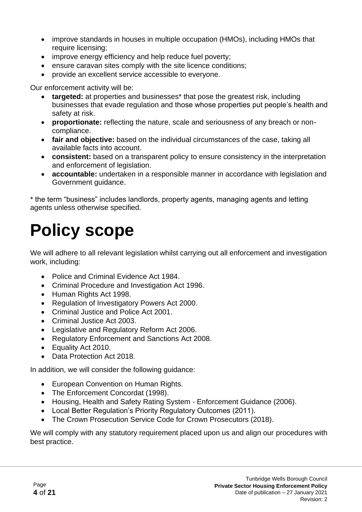- improve standards in houses in multiple occupation (HMOs), including HMOs that require licensing;
- improve energy efficiency and help reduce fuel poverty;
- ensure caravan sites comply with the site licence conditions;
- provide an excellent service accessible to everyone.

Our enforcement activity will be:

- **targeted:** at properties and businesses<sup>\*</sup> that pose the greatest risk, including businesses that evade regulation and those whose properties put people's health and safety at risk.
- **proportionate:** reflecting the nature, scale and seriousness of any breach or noncompliance.
- **fair and objective:** based on the individual circumstances of the case, taking all available facts into account.
- **consistent:** based on a transparent policy to ensure consistency in the interpretation and enforcement of legislation.
- **accountable:** undertaken in a responsible manner in accordance with legislation and Government guidance.

\* the term "business" includes landlords, property agents, managing agents and letting agents unless otherwise specified.

### <span id="page-3-0"></span>**Policy scope**

We will adhere to all relevant legislation whilst carrying out all enforcement and investigation work, including:

- Police and Criminal Evidence Act 1984.
- Criminal Procedure and Investigation Act 1996.
- Human Rights Act 1998.
- Regulation of Investigatory Powers Act 2000.
- Criminal Justice and Police Act 2001.
- Criminal Justice Act 2003.
- Legislative and Regulatory Reform Act 2006.
- Regulatory Enforcement and Sanctions Act 2008.
- Equality Act 2010.
- Data Protection Act 2018.

In addition, we will consider the following guidance:

- European Convention on Human Rights.
- The Enforcement Concordat (1998).
- Housing, Health and Safety Rating System Enforcement Guidance (2006).
- Local Better Regulation's Priority Regulatory Outcomes (2011).
- The Crown Prosecution Service Code for Crown Prosecutors (2018).

We will comply with any statutory requirement placed upon us and align our procedures with best practice.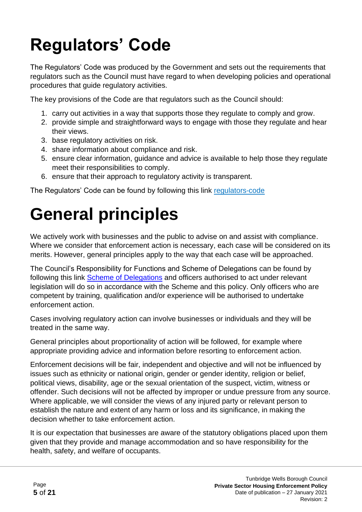# <span id="page-4-0"></span>**Regulators' Code**

The Regulators' Code was produced by the Government and sets out the requirements that regulators such as the Council must have regard to when developing policies and operational procedures that guide regulatory activities.

The key provisions of the Code are that regulators such as the Council should:

- 1. carry out activities in a way that supports those they regulate to comply and grow.
- 2. provide simple and straightforward ways to engage with those they regulate and hear their views.
- 3. base regulatory activities on risk.
- 4. share information about compliance and risk.
- 5. ensure clear information, guidance and advice is available to help those they regulate meet their responsibilities to comply.
- 6. ensure that their approach to regulatory activity is transparent.

The Regulators' Code can be found by following this link [regulators-code](https://www.gov.uk/government/publications/regulators-code)

# <span id="page-4-1"></span>**General principles**

We actively work with businesses and the public to advise on and assist with compliance. Where we consider that enforcement action is necessary, each case will be considered on its merits. However, general principles apply to the way that each case will be approached.

The Council's Responsibility for Functions and Scheme of Delegations can be found by following this link [Scheme](http://democracy.tunbridgewells.gov.uk/meetings/ecSDDisplay.aspx?NAME=SD1073&ID=1073&RPID=2409669) of Delegations and officers authorised to act under relevant legislation will do so in accordance with the Scheme and this policy. Only officers who are competent by training, qualification and/or experience will be authorised to undertake enforcement action.

Cases involving regulatory action can involve businesses or individuals and they will be treated in the same way.

General principles about proportionality of action will be followed, for example where appropriate providing advice and information before resorting to enforcement action.

Enforcement decisions will be fair, independent and objective and will not be influenced by issues such as ethnicity or national origin, gender or gender identity, religion or belief, political views, disability, age or the sexual orientation of the suspect, victim, witness or offender. Such decisions will not be affected by improper or undue pressure from any source. Where applicable, we will consider the views of any injured party or relevant person to establish the nature and extent of any harm or loss and its significance, in making the decision whether to take enforcement action.

It is our expectation that businesses are aware of the statutory obligations placed upon them given that they provide and manage accommodation and so have responsibility for the health, safety, and welfare of occupants.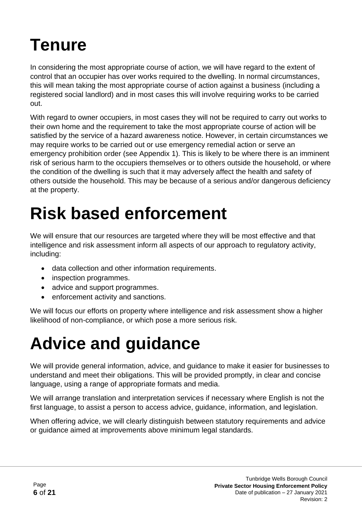## <span id="page-5-0"></span>**Tenure**

In considering the most appropriate course of action, we will have regard to the extent of control that an occupier has over works required to the dwelling. In normal circumstances, this will mean taking the most appropriate course of action against a business (including a registered social landlord) and in most cases this will involve requiring works to be carried out.

With regard to owner occupiers, in most cases they will not be required to carry out works to their own home and the requirement to take the most appropriate course of action will be satisfied by the service of a hazard awareness notice. However, in certain circumstances we may require works to be carried out or use emergency remedial action or serve an emergency prohibition order (see Appendix 1). This is likely to be where there is an imminent risk of serious harm to the occupiers themselves or to others outside the household, or where the condition of the dwelling is such that it may adversely affect the health and safety of others outside the household. This may be because of a serious and/or dangerous deficiency at the property.

## <span id="page-5-1"></span>**Risk based enforcement**

We will ensure that our resources are targeted where they will be most effective and that intelligence and risk assessment inform all aspects of our approach to regulatory activity, including:

- data collection and other information requirements.
- inspection programmes.
- advice and support programmes.
- enforcement activity and sanctions.

We will focus our efforts on property where intelligence and risk assessment show a higher likelihood of non-compliance, or which pose a more serious risk.

# <span id="page-5-2"></span>**Advice and guidance**

We will provide general information, advice, and guidance to make it easier for businesses to understand and meet their obligations. This will be provided promptly, in clear and concise language, using a range of appropriate formats and media.

We will arrange translation and interpretation services if necessary where English is not the first language, to assist a person to access advice, guidance, information, and legislation.

When offering advice, we will clearly distinguish between statutory requirements and advice or guidance aimed at improvements above minimum legal standards.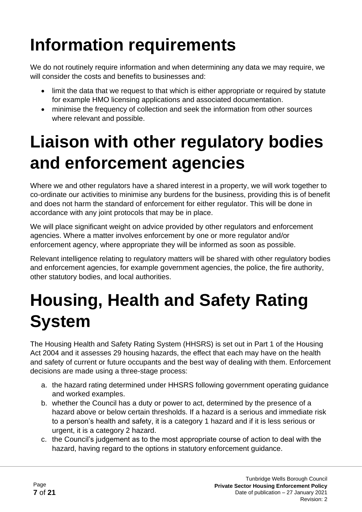# <span id="page-6-0"></span>**Information requirements**

We do not routinely require information and when determining any data we may require, we will consider the costs and benefits to businesses and:

- limit the data that we request to that which is either appropriate or required by statute for example HMO licensing applications and associated documentation.
- minimise the frequency of collection and seek the information from other sources where relevant and possible.

### <span id="page-6-1"></span>**Liaison with other regulatory bodies and enforcement agencies**

Where we and other regulators have a shared interest in a property, we will work together to co-ordinate our activities to minimise any burdens for the business, providing this is of benefit and does not harm the standard of enforcement for either regulator. This will be done in accordance with any joint protocols that may be in place.

We will place significant weight on advice provided by other regulators and enforcement agencies. Where a matter involves enforcement by one or more regulator and/or enforcement agency, where appropriate they will be informed as soon as possible.

Relevant intelligence relating to regulatory matters will be shared with other regulatory bodies and enforcement agencies, for example government agencies, the police, the fire authority, other statutory bodies, and local authorities.

### <span id="page-6-2"></span>**Housing, Health and Safety Rating System**

The Housing Health and Safety Rating System (HHSRS) is set out in Part 1 of the Housing Act 2004 and it assesses 29 housing hazards, the effect that each may have on the health and safety of current or future occupants and the best way of dealing with them. Enforcement decisions are made using a three-stage process:

- a. the hazard rating determined under HHSRS following government operating guidance and worked examples.
- b. whether the Council has a duty or power to act, determined by the presence of a hazard above or below certain thresholds. If a hazard is a serious and immediate risk to a person's health and safety, it is a category 1 hazard and if it is less serious or urgent, it is a category 2 hazard.
- c. the Council's judgement as to the most appropriate course of action to deal with the hazard, having regard to the options in statutory enforcement guidance.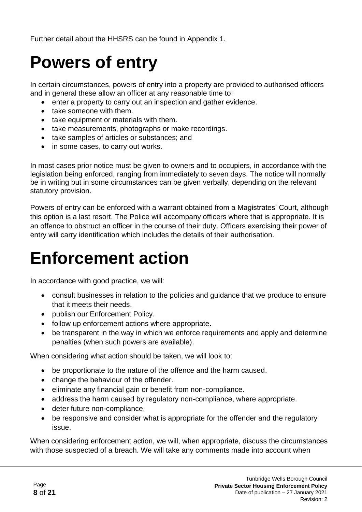Further detail about the HHSRS can be found in Appendix 1.

## <span id="page-7-0"></span>**Powers of entry**

In certain circumstances, powers of entry into a property are provided to authorised officers and in general these allow an officer at any reasonable time to:

- enter a property to carry out an inspection and gather evidence.
- take someone with them.
- take equipment or materials with them.
- take measurements, photographs or make recordings.
- take samples of articles or substances; and
- in some cases, to carry out works.

In most cases prior notice must be given to owners and to occupiers, in accordance with the legislation being enforced, ranging from immediately to seven days. The notice will normally be in writing but in some circumstances can be given verbally, depending on the relevant statutory provision.

Powers of entry can be enforced with a warrant obtained from a Magistrates' Court, although this option is a last resort. The Police will accompany officers where that is appropriate. It is an offence to obstruct an officer in the course of their duty. Officers exercising their power of entry will carry identification which includes the details of their authorisation.

### <span id="page-7-1"></span>**Enforcement action**

In accordance with good practice, we will:

- consult businesses in relation to the policies and guidance that we produce to ensure that it meets their needs.
- publish our Enforcement Policy.
- follow up enforcement actions where appropriate.
- be transparent in the way in which we enforce requirements and apply and determine penalties (when such powers are available).

When considering what action should be taken, we will look to:

- be proportionate to the nature of the offence and the harm caused.
- change the behaviour of the offender.
- eliminate any financial gain or benefit from non-compliance.
- address the harm caused by regulatory non-compliance, where appropriate.
- deter future non-compliance.
- be responsive and consider what is appropriate for the offender and the regulatory issue.

When considering enforcement action, we will, when appropriate, discuss the circumstances with those suspected of a breach. We will take any comments made into account when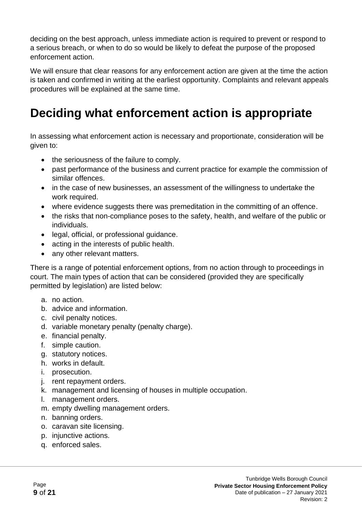deciding on the best approach, unless immediate action is required to prevent or respond to a serious breach, or when to do so would be likely to defeat the purpose of the proposed enforcement action.

We will ensure that clear reasons for any enforcement action are given at the time the action is taken and confirmed in writing at the earliest opportunity. Complaints and relevant appeals procedures will be explained at the same time.

### <span id="page-8-0"></span>**Deciding what enforcement action is appropriate**

In assessing what enforcement action is necessary and proportionate, consideration will be given to:

- the seriousness of the failure to comply.
- past performance of the business and current practice for example the commission of similar offences.
- in the case of new businesses, an assessment of the willingness to undertake the work required.
- where evidence suggests there was premeditation in the committing of an offence.
- the risks that non-compliance poses to the safety, health, and welfare of the public or individuals.
- legal, official, or professional guidance.
- acting in the interests of public health.
- any other relevant matters.

There is a range of potential enforcement options, from no action through to proceedings in court. The main types of action that can be considered (provided they are specifically permitted by legislation) are listed below:

- a. no action.
- b. advice and information.
- c. civil penalty notices.
- d. variable monetary penalty (penalty charge).
- e. financial penalty.
- f. simple caution.
- g. statutory notices.
- h. works in default.
- i. prosecution.
- j. rent repayment orders.
- k. management and licensing of houses in multiple occupation.
- l. management orders.
- m. empty dwelling management orders.
- n. banning orders.
- o. caravan site licensing.
- p. injunctive actions.
- q. enforced sales.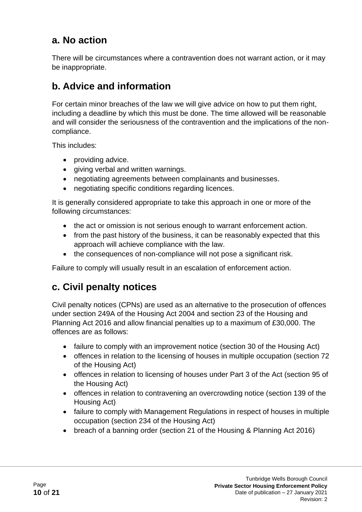#### **a. No action**

There will be circumstances where a contravention does not warrant action, or it may be inappropriate.

#### **b. Advice and information**

For certain minor breaches of the law we will give advice on how to put them right, including a deadline by which this must be done. The time allowed will be reasonable and will consider the seriousness of the contravention and the implications of the noncompliance.

This includes:

- providing advice.
- giving verbal and written warnings.
- negotiating agreements between complainants and businesses.
- negotiating specific conditions regarding licences.

It is generally considered appropriate to take this approach in one or more of the following circumstances:

- the act or omission is not serious enough to warrant enforcement action.
- from the past history of the business, it can be reasonably expected that this approach will achieve compliance with the law.
- the consequences of non-compliance will not pose a significant risk.

Failure to comply will usually result in an escalation of enforcement action.

#### **c. Civil penalty notices**

Civil penalty notices (CPNs) are used as an alternative to the prosecution of offences under section 249A of the Housing Act 2004 and section 23 of the Housing and Planning Act 2016 and allow financial penalties up to a maximum of £30,000. The offences are as follows:

- failure to comply with an improvement notice (section 30 of the Housing Act)
- offences in relation to the licensing of houses in multiple occupation (section 72 of the Housing Act)
- offences in relation to licensing of houses under Part 3 of the Act (section 95 of the Housing Act)
- offences in relation to contravening an overcrowding notice (section 139 of the Housing Act)
- failure to comply with Management Regulations in respect of houses in multiple occupation (section 234 of the Housing Act)
- breach of a banning order (section 21 of the Housing & Planning Act 2016)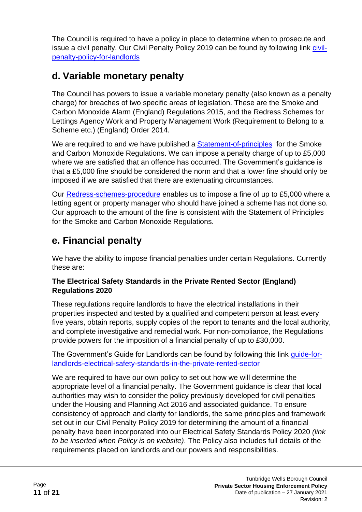The Council is required to have a policy in place to determine when to prosecute and issue a civil penalty. Our Civil Penalty Policy 2019 can be found by following link [civil](https://www.tunbridgewells.gov.uk/housing/private-sector-housing/responsibilities-for-landlords/civil-penalty-policy-for-landlords)[penalty-policy-for-landlords](https://www.tunbridgewells.gov.uk/housing/private-sector-housing/responsibilities-for-landlords/civil-penalty-policy-for-landlords)

#### **d. Variable monetary penalty**

The Council has powers to issue a variable monetary penalty (also known as a penalty charge) for breaches of two specific areas of legislation. These are the Smoke and Carbon Monoxide Alarm (England) Regulations 2015, and the Redress Schemes for Lettings Agency Work and Property Management Work (Requirement to Belong to a Scheme etc.) (England) Order 2014.

We are required to and we have published a **Statement-of-principles** for the Smoke and Carbon Monoxide Regulations. We can impose a penalty charge of up to £5,000 where we are satisfied that an offence has occurred. The Government's guidance is that a £5,000 fine should be considered the norm and that a lower fine should only be imposed if we are satisfied that there are extenuating circumstances.

Our [Redress-schemes-procedure](https://www.tunbridgewells.gov.uk/__data/assets/pdf_file/0011/368192/Redress-schemes-procedure-Accessible-version.pdf) enables us to impose a fine of up to £5,000 where a letting agent or property manager who should have joined a scheme has not done so. Our approach to the amount of the fine is consistent with the Statement of Principles for the Smoke and Carbon Monoxide Regulations.

### **e. Financial penalty**

We have the ability to impose financial penalties under certain Regulations. Currently these are:

#### **The Electrical Safety Standards in the Private Rented Sector (England) Regulations 2020**

These regulations require landlords to have the electrical installations in their properties inspected and tested by a qualified and competent person at least every five years, obtain reports, supply copies of the report to tenants and the local authority, and complete investigative and remedial work. For non-compliance, the Regulations provide powers for the imposition of a financial penalty of up to £30,000.

The Government's Guide for Landlords can be found by following this link quide-for[landlords-electrical-safety-standards-in-the-private-rented-sector](https://www.gov.uk/government/publications/electrical-safety-standards-in-the-private-rented-sector-guidance-for-landlords-tenants-and-local-authorities/guide-for-landlords-electrical-safety-standards-in-the-private-rented-sector)

We are required to have our own policy to set out how we will determine the appropriate level of a financial penalty. The Government guidance is clear that local authorities may wish to consider the policy previously developed for civil penalties under the Housing and Planning Act 2016 and associated guidance. To ensure consistency of approach and clarity for landlords, the same principles and framework set out in our Civil Penalty Policy 2019 for determining the amount of a financial penalty have been incorporated into our Electrical Safety Standards Policy 2020 *(link to be inserted when Policy is on website)*. The Policy also includes full details of the requirements placed on landlords and our powers and responsibilities.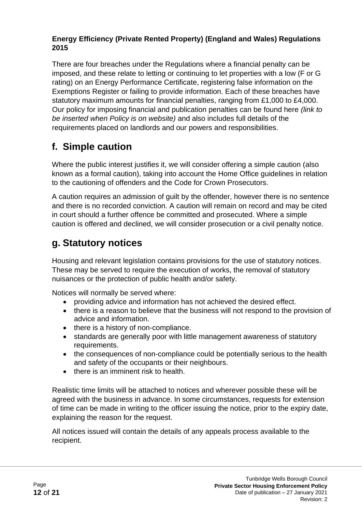#### **Energy Efficiency (Private Rented Property) (England and Wales) Regulations 2015**

There are four breaches under the Regulations where a financial penalty can be imposed, and these relate to letting or continuing to let properties with a low (F or G rating) on an Energy Performance Certificate, registering false information on the Exemptions Register or failing to provide information. Each of these breaches have statutory maximum amounts for financial penalties, ranging from £1,000 to £4,000. Our policy for imposing financial and publication penalties can be found here *(link to be inserted when Policy is on website)* and also includes full details of the requirements placed on landlords and our powers and responsibilities.

### **f. Simple caution**

Where the public interest justifies it, we will consider offering a simple caution (also known as a formal caution), taking into account the Home Office guidelines in relation to the cautioning of offenders and the Code for Crown Prosecutors.

A caution requires an admission of guilt by the offender, however there is no sentence and there is no recorded conviction. A caution will remain on record and may be cited in court should a further offence be committed and prosecuted. Where a simple caution is offered and declined, we will consider prosecution or a civil penalty notice.

### **g. Statutory notices**

Housing and relevant legislation contains provisions for the use of statutory notices. These may be served to require the execution of works, the removal of statutory nuisances or the protection of public health and/or safety.

Notices will normally be served where:

- providing advice and information has not achieved the desired effect.
- there is a reason to believe that the business will not respond to the provision of advice and information.
- there is a history of non-compliance.
- standards are generally poor with little management awareness of statutory requirements.
- the consequences of non-compliance could be potentially serious to the health and safety of the occupants or their neighbours.
- there is an imminent risk to health.

Realistic time limits will be attached to notices and wherever possible these will be agreed with the business in advance. In some circumstances, requests for extension of time can be made in writing to the officer issuing the notice, prior to the expiry date, explaining the reason for the request.

All notices issued will contain the details of any appeals process available to the recipient.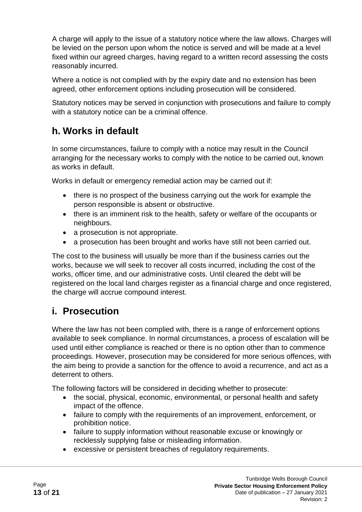A charge will apply to the issue of a statutory notice where the law allows. Charges will be levied on the person upon whom the notice is served and will be made at a level fixed within our agreed charges, having regard to a written record assessing the costs reasonably incurred.

Where a notice is not complied with by the expiry date and no extension has been agreed, other enforcement options including prosecution will be considered.

Statutory notices may be served in conjunction with prosecutions and failure to comply with a statutory notice can be a criminal offence.

### **h. Works in default**

In some circumstances, failure to comply with a notice may result in the Council arranging for the necessary works to comply with the notice to be carried out, known as works in default.

Works in default or emergency remedial action may be carried out if:

- there is no prospect of the business carrying out the work for example the person responsible is absent or obstructive.
- there is an imminent risk to the health, safety or welfare of the occupants or neighbours.
- a prosecution is not appropriate.
- a prosecution has been brought and works have still not been carried out.

The cost to the business will usually be more than if the business carries out the works, because we will seek to recover all costs incurred, including the cost of the works, officer time, and our administrative costs. Until cleared the debt will be registered on the local land charges register as a financial charge and once registered, the charge will accrue compound interest.

#### **i. Prosecution**

Where the law has not been complied with, there is a range of enforcement options available to seek compliance. In normal circumstances, a process of escalation will be used until either compliance is reached or there is no option other than to commence proceedings. However, prosecution may be considered for more serious offences, with the aim being to provide a sanction for the offence to avoid a recurrence, and act as a deterrent to others.

The following factors will be considered in deciding whether to prosecute:

- the social, physical, economic, environmental, or personal health and safety impact of the offence.
- failure to comply with the requirements of an improvement, enforcement, or prohibition notice.
- failure to supply information without reasonable excuse or knowingly or recklessly supplying false or misleading information.
- excessive or persistent breaches of regulatory requirements.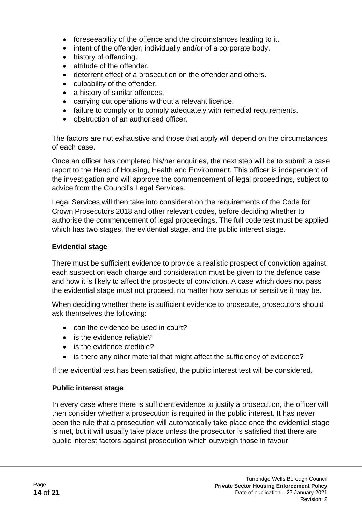- foreseeability of the offence and the circumstances leading to it.
- intent of the offender, individually and/or of a corporate body.
- history of offending.
- attitude of the offender.
- deterrent effect of a prosecution on the offender and others.
- culpability of the offender.
- a history of similar offences.
- carrying out operations without a relevant licence.
- failure to comply or to comply adequately with remedial requirements.
- obstruction of an authorised officer.

The factors are not exhaustive and those that apply will depend on the circumstances of each case.

Once an officer has completed his/her enquiries, the next step will be to submit a case report to the Head of Housing, Health and Environment. This officer is independent of the investigation and will approve the commencement of legal proceedings, subject to advice from the Council's Legal Services.

Legal Services will then take into consideration the requirements of the Code for Crown Prosecutors 2018 and other relevant codes, before deciding whether to authorise the commencement of legal proceedings. The full code test must be applied which has two stages, the evidential stage, and the public interest stage.

#### **Evidential stage**

There must be sufficient evidence to provide a realistic prospect of conviction against each suspect on each charge and consideration must be given to the defence case and how it is likely to affect the prospects of conviction. A case which does not pass the evidential stage must not proceed, no matter how serious or sensitive it may be.

When deciding whether there is sufficient evidence to prosecute, prosecutors should ask themselves the following:

- can the evidence be used in court?
- is the evidence reliable?
- is the evidence credible?
- is there any other material that might affect the sufficiency of evidence?

If the evidential test has been satisfied, the public interest test will be considered.

#### **Public interest stage**

In every case where there is sufficient evidence to justify a prosecution, the officer will then consider whether a prosecution is required in the public interest. It has never been the rule that a prosecution will automatically take place once the evidential stage is met, but it will usually take place unless the prosecutor is satisfied that there are public interest factors against prosecution which outweigh those in favour.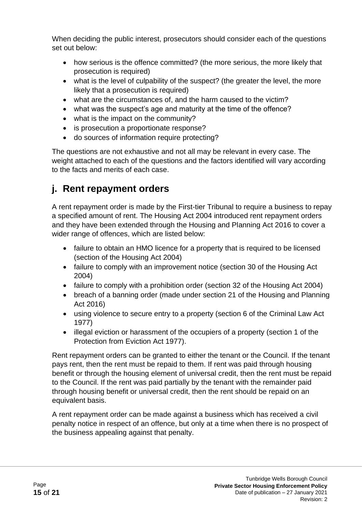When deciding the public interest, prosecutors should consider each of the questions set out below:

- how serious is the offence committed? (the more serious, the more likely that prosecution is required)
- what is the level of culpability of the suspect? (the greater the level, the more likely that a prosecution is required)
- what are the circumstances of, and the harm caused to the victim?
- what was the suspect's age and maturity at the time of the offence?
- what is the impact on the community?
- is prosecution a proportionate response?
- do sources of information require protecting?

The questions are not exhaustive and not all may be relevant in every case. The weight attached to each of the questions and the factors identified will vary according to the facts and merits of each case.

### **j. Rent repayment orders**

A rent repayment order is made by the First-tier Tribunal to require a business to repay a specified amount of rent. The Housing Act 2004 introduced rent repayment orders and they have been extended through the Housing and Planning Act 2016 to cover a wider range of offences, which are listed below:

- failure to obtain an HMO licence for a property that is required to be licensed (section of the Housing Act 2004)
- failure to comply with an improvement notice (section 30 of the Housing Act 2004)
- failure to comply with a prohibition order (section 32 of the Housing Act 2004)
- breach of a banning order (made under section 21 of the Housing and Planning Act 2016)
- using violence to secure entry to a property (section 6 of the Criminal Law Act 1977)
- illegal eviction or harassment of the occupiers of a property (section 1 of the Protection from Eviction Act 1977).

Rent repayment orders can be granted to either the tenant or the Council. If the tenant pays rent, then the rent must be repaid to them. If rent was paid through housing benefit or through the housing element of universal credit, then the rent must be repaid to the Council. If the rent was paid partially by the tenant with the remainder paid through housing benefit or universal credit, then the rent should be repaid on an equivalent basis.

A rent repayment order can be made against a business which has received a civil penalty notice in respect of an offence, but only at a time when there is no prospect of the business appealing against that penalty.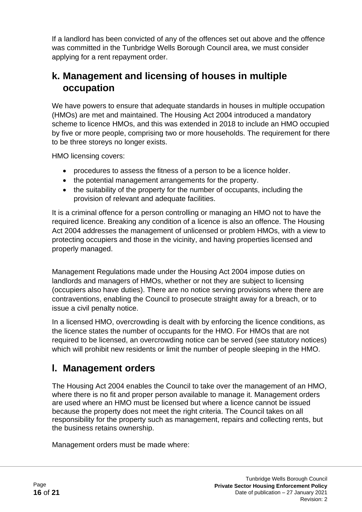If a landlord has been convicted of any of the offences set out above and the offence was committed in the Tunbridge Wells Borough Council area, we must consider applying for a rent repayment order.

#### **k. Management and licensing of houses in multiple occupation**

We have powers to ensure that adequate standards in houses in multiple occupation (HMOs) are met and maintained. The Housing Act 2004 introduced a mandatory scheme to licence HMOs, and this was extended in 2018 to include an HMO occupied by five or more people, comprising two or more households. The requirement for there to be three storeys no longer exists.

HMO licensing covers:

- procedures to assess the fitness of a person to be a licence holder.
- the potential management arrangements for the property.
- the suitability of the property for the number of occupants, including the provision of relevant and adequate facilities.

It is a criminal offence for a person controlling or managing an HMO not to have the required licence. Breaking any condition of a licence is also an offence. The Housing Act 2004 addresses the management of unlicensed or problem HMOs, with a view to protecting occupiers and those in the vicinity, and having properties licensed and properly managed.

Management Regulations made under the Housing Act 2004 impose duties on landlords and managers of HMOs, whether or not they are subject to licensing (occupiers also have duties). There are no notice serving provisions where there are contraventions, enabling the Council to prosecute straight away for a breach, or to issue a civil penalty notice.

In a licensed HMO, overcrowding is dealt with by enforcing the licence conditions, as the licence states the number of occupants for the HMO. For HMOs that are not required to be licensed, an overcrowding notice can be served (see statutory notices) which will prohibit new residents or limit the number of people sleeping in the HMO.

#### **l. Management orders**

The Housing Act 2004 enables the Council to take over the management of an HMO, where there is no fit and proper person available to manage it. Management orders are used where an HMO must be licensed but where a licence cannot be issued because the property does not meet the right criteria. The Council takes on all responsibility for the property such as management, repairs and collecting rents, but the business retains ownership.

Management orders must be made where: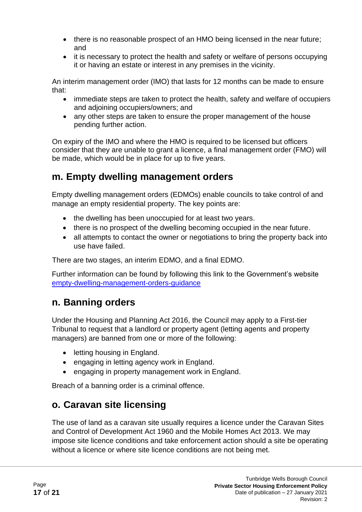- there is no reasonable prospect of an HMO being licensed in the near future; and
- it is necessary to protect the health and safety or welfare of persons occupying it or having an estate or interest in any premises in the vicinity.

An interim management order (IMO) that lasts for 12 months can be made to ensure that:

- immediate steps are taken to protect the health, safety and welfare of occupiers and adjoining occupiers/owners; and
- any other steps are taken to ensure the proper management of the house pending further action.

On expiry of the IMO and where the HMO is required to be licensed but officers consider that they are unable to grant a licence, a final management order (FMO) will be made, which would be in place for up to five years.

#### **m. Empty dwelling management orders**

Empty dwelling management orders (EDMOs) enable councils to take control of and manage an empty residential property. The key points are:

- the dwelling has been unoccupied for at least two years.
- there is no prospect of the dwelling becoming occupied in the near future.
- all attempts to contact the owner or negotiations to bring the property back into use have failed.

There are two stages, an interim EDMO, and a final EDMO.

Further information can be found by following this link to the Government's website [empty-dwelling-management-orders-guidance](https://www.gov.uk/government/publications/empty-dwelling-management-orders-guidance)

#### **n. Banning orders**

Under the Housing and Planning Act 2016, the Council may apply to a First-tier Tribunal to request that a landlord or property agent (letting agents and property managers) are banned from one or more of the following:

- letting housing in England.
- engaging in letting agency work in England.
- engaging in property management work in England.

Breach of a banning order is a criminal offence.

#### **o. Caravan site licensing**

The use of land as a caravan site usually requires a licence under the Caravan Sites and Control of Development Act 1960 and the Mobile Homes Act 2013. We may impose site licence conditions and take enforcement action should a site be operating without a licence or where site licence conditions are not being met.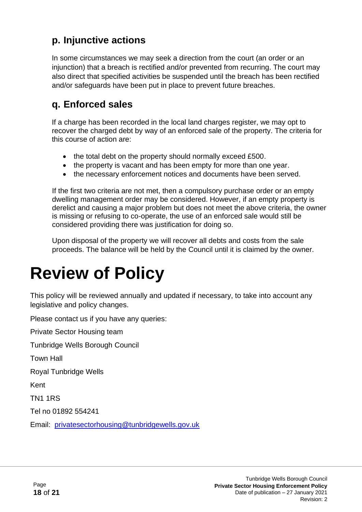#### **p. Injunctive actions**

In some circumstances we may seek a direction from the court (an order or an injunction) that a breach is rectified and/or prevented from recurring. The court may also direct that specified activities be suspended until the breach has been rectified and/or safeguards have been put in place to prevent future breaches.

#### **q. Enforced sales**

If a charge has been recorded in the local land charges register, we may opt to recover the charged debt by way of an enforced sale of the property. The criteria for this course of action are:

- the total debt on the property should normally exceed £500.
- the property is vacant and has been empty for more than one year.
- the necessary enforcement notices and documents have been served.

If the first two criteria are not met, then a compulsory purchase order or an empty dwelling management order may be considered. However, if an empty property is derelict and causing a major problem but does not meet the above criteria, the owner is missing or refusing to co-operate, the use of an enforced sale would still be considered providing there was justification for doing so.

Upon disposal of the property we will recover all debts and costs from the sale proceeds. The balance will be held by the Council until it is claimed by the owner.

### <span id="page-17-0"></span>**Review of Policy**

This policy will be reviewed annually and updated if necessary, to take into account any legislative and policy changes.

Please contact us if you have any queries:

Private Sector Housing team

Tunbridge Wells Borough Council

Town Hall

Royal Tunbridge Wells

Kent

TN1 1RS

Tel no 01892 554241

Email: [privatesectorhousing@tunbridgewells.gov.uk](mailto:privatesectorhousing@tunbridgewells.gov.uk)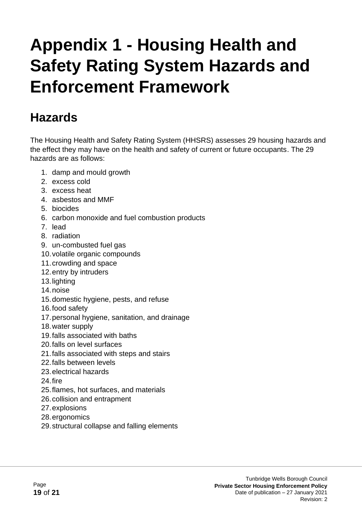### <span id="page-18-0"></span>**Appendix 1 - Housing Health and Safety Rating System Hazards and Enforcement Framework**

### <span id="page-18-1"></span>**Hazards**

The Housing Health and Safety Rating System (HHSRS) assesses 29 housing hazards and the effect they may have on the health and safety of current or future occupants. The 29 hazards are as follows:

- 1. damp and mould growth
- 2. excess cold
- 3. excess heat
- 4. asbestos and MMF
- 5. biocides
- 6. carbon monoxide and fuel combustion products
- 7. lead
- 8. radiation
- 9. un-combusted fuel gas
- 10.volatile organic compounds
- 11.crowding and space
- 12.entry by intruders
- 13.lighting
- 14.noise
- 15.domestic hygiene, pests, and refuse
- 16.food safety
- 17.personal hygiene, sanitation, and drainage
- 18.water supply
- 19.falls associated with baths
- 20.falls on level surfaces
- 21.falls associated with steps and stairs
- 22.falls between levels
- 23.electrical hazards
- 24.fire
- 25.flames, hot surfaces, and materials
- 26.collision and entrapment
- 27.explosions
- 28.ergonomics
- 29.structural collapse and falling elements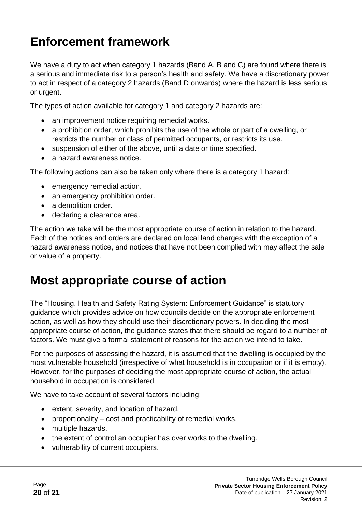### <span id="page-19-0"></span>**Enforcement framework**

We have a duty to act when category 1 hazards (Band A, B and C) are found where there is a serious and immediate risk to a person's health and safety. We have a discretionary power to act in respect of a category 2 hazards (Band D onwards) where the hazard is less serious or urgent.

The types of action available for category 1 and category 2 hazards are:

- an improvement notice requiring remedial works.
- a prohibition order, which prohibits the use of the whole or part of a dwelling, or restricts the number or class of permitted occupants, or restricts its use.
- suspension of either of the above, until a date or time specified.
- a hazard awareness notice.

The following actions can also be taken only where there is a category 1 hazard:

- emergency remedial action.
- an emergency prohibition order.
- a demolition order.
- declaring a clearance area.

The action we take will be the most appropriate course of action in relation to the hazard. Each of the notices and orders are declared on local land charges with the exception of a hazard awareness notice, and notices that have not been complied with may affect the sale or value of a property.

### <span id="page-19-1"></span>**Most appropriate course of action**

The "Housing, Health and Safety Rating System: Enforcement Guidance" is statutory guidance which provides advice on how councils decide on the appropriate enforcement action, as well as how they should use their discretionary powers. In deciding the most appropriate course of action, the guidance states that there should be regard to a number of factors. We must give a formal statement of reasons for the action we intend to take.

For the purposes of assessing the hazard, it is assumed that the dwelling is occupied by the most vulnerable household (irrespective of what household is in occupation or if it is empty). However, for the purposes of deciding the most appropriate course of action, the actual household in occupation is considered.

We have to take account of several factors including:

- extent, severity, and location of hazard.
- proportionality cost and practicability of remedial works.
- multiple hazards.
- the extent of control an occupier has over works to the dwelling.
- vulnerability of current occupiers.